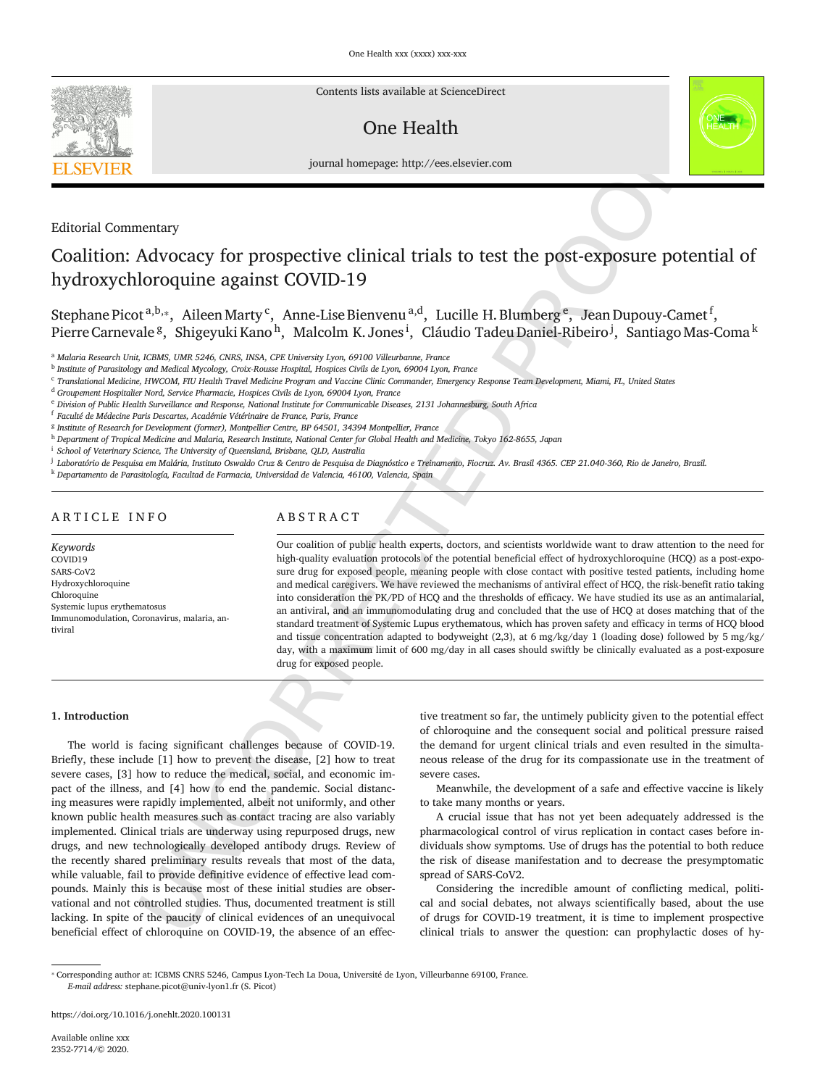

Contents lists available at ScienceDirect

# One Health



journal homepage: http://ees.elsevier.com

# Editorial Commentary

# Coalition: Advocacy for prospective clinical trials to test the post-exposure potential of hydroxychloroquine against COVID-19

Stephane Picot <sup>a,b,</sup> $_*$  Aileen Marty <sup>c</sup>, Anne-Lise Bienvenu <sup>a,d</sup>, Lucille H. Blumberg <sup>e</sup>, Jean Dupouy-Camet <sup>f</sup>, Pierre Carnevale <sup>g</sup>, Shigeyuki Kano <sup>h</sup>, Malcolm K. Jones <sup>i</sup>, Cláudio Tadeu Daniel-Ribeiro <sup>j</sup>, Santiago Mas-Coma <sup>k</sup>

<sup>a</sup> *Malaria Research Unit, ICBMS, UMR 5246, CNRS, INSA, CPE University Lyon, 69100 Villeurbanne, France*

b *Institute of Parasitology and Medical Mycology, Croix-Rousse Hospital, Hospices Civils de Lyon, 69004 Lyon, France*

<sup>d</sup> *Groupement Hospitalier Nord, Service Pharmacie, Hospices Civils de Lyon, 69004 Lyon, France*

e Division of Public Health Surveillance and Response, National Institute for Communicable Diseases, 2131 Johannesburg, South Africa

<sup>f</sup> *Faculté de Médecine Paris Descartes, Académie Vétérinaire de France, Paris, France*

g *Institute of Research for Development (former), Montpellier Centre, BP 64501, 34394 Montpellier, France*

h Department of Tropical Medicine and Malaria. Research Institute, National Center for Global Health and Medicine, Tokyo 162-8655, Japan

<sup>i</sup> *School of Veterinary Science, The University of Queensland, Brisbane, QLD, Australia*

.<br>I Laboratório de Pesquisa em Malária, Instituto Oswaldo Cruz & Centro de Pesquisa de Diagnóstico e Treinamento, Fiocruz. Av. Brasil 4365. CEP 21.040-360, Rio de Janeiro, Brazil.

<sup>k</sup> *Departamento de Parasitología, Facultad de Farmacia, Universidad de Valencia, 46100, Valencia, Spain*

# ARTICLE INFO

#### *Keywords* COVID19 SARS-CoV2 Hydroxychloroquine Chloroquine Systemic lupus erythematosus Immunomodulation, Coronavirus, malaria, antiviral

# ABSTRACT

UNCORRECTED PROOF Our coalition of public health experts, doctors, and scientists worldwide want to draw attention to the need for high-quality evaluation protocols of the potential beneficial effect of hydroxychloroquine (HCQ) as a post-exposure drug for exposed people, meaning people with close contact with positive tested patients, including home and medical caregivers. We have reviewed the mechanisms of antiviral effect of HCQ, the risk-benefit ratio taking into consideration the PK/PD of HCQ and the thresholds of efficacy. We have studied its use as an antimalarial, an antiviral, and an immunomodulating drug and concluded that the use of HCQ at doses matching that of the standard treatment of Systemic Lupus erythematous, which has proven safety and efficacy in terms of HCQ blood and tissue concentration adapted to bodyweight (2,3), at 6 mg/kg/day 1 (loading dose) followed by 5 mg/kg/ day, with a maximum limit of 600 mg/day in all cases should swiftly be clinically evaluated as a post-exposure drug for exposed people.

#### **1. Introduction**

The world is facing significant challenges because of COVID-19. Briefly, these include [1] how to prevent the disease, [2] how to treat severe cases, [3] how to reduce the medical, social, and economic impact of the illness, and [4] how to end the pandemic. Social distancing measures were rapidly implemented, albeit not uniformly, and other known public health measures such as contact tracing are also variably implemented. Clinical trials are underway using repurposed drugs, new drugs, and new technologically developed antibody drugs. Review of the recently shared preliminary results reveals that most of the data, while valuable, fail to provide definitive evidence of effective lead compounds. Mainly this is because most of these initial studies are observational and not controlled studies. Thus, documented treatment is still lacking. In spite of the paucity of clinical evidences of an unequivocal beneficial effect of chloroquine on COVID-19, the absence of an effec

tive treatment so far, the untimely publicity given to the potential effect of chloroquine and the consequent social and political pressure raised the demand for urgent clinical trials and even resulted in the simultaneous release of the drug for its compassionate use in the treatment of severe cases.

Meanwhile, the development of a safe and effective vaccine is likely to take many months or years.

A crucial issue that has not yet been adequately addressed is the pharmacological control of virus replication in contact cases before individuals show symptoms. Use of drugs has the potential to both reduce the risk of disease manifestation and to decrease the presymptomatic spread of SARS-CoV2.

Considering the incredible amount of conflicting medical, political and social debates, not always scientifically based, about the use of drugs for COVID-19 treatment, it is time to implement prospective clinical trials to answer the question: can prophylactic doses of hy

<sup>&</sup>lt;sup>c</sup> Translational Medicine, HWCOM, FIU Health Travel Medicine Program and Vaccine Clinic Commander, Emergency Response Team Development, Miami, FL, United States

<sup>⁎</sup> Corresponding author at: ICBMS CNRS 5246, Campus Lyon-Tech La Doua, Université de Lyon, Villeurbanne 69100, France. *E-mail address:* stephane.picot@univ-lyon1.fr (S. Picot)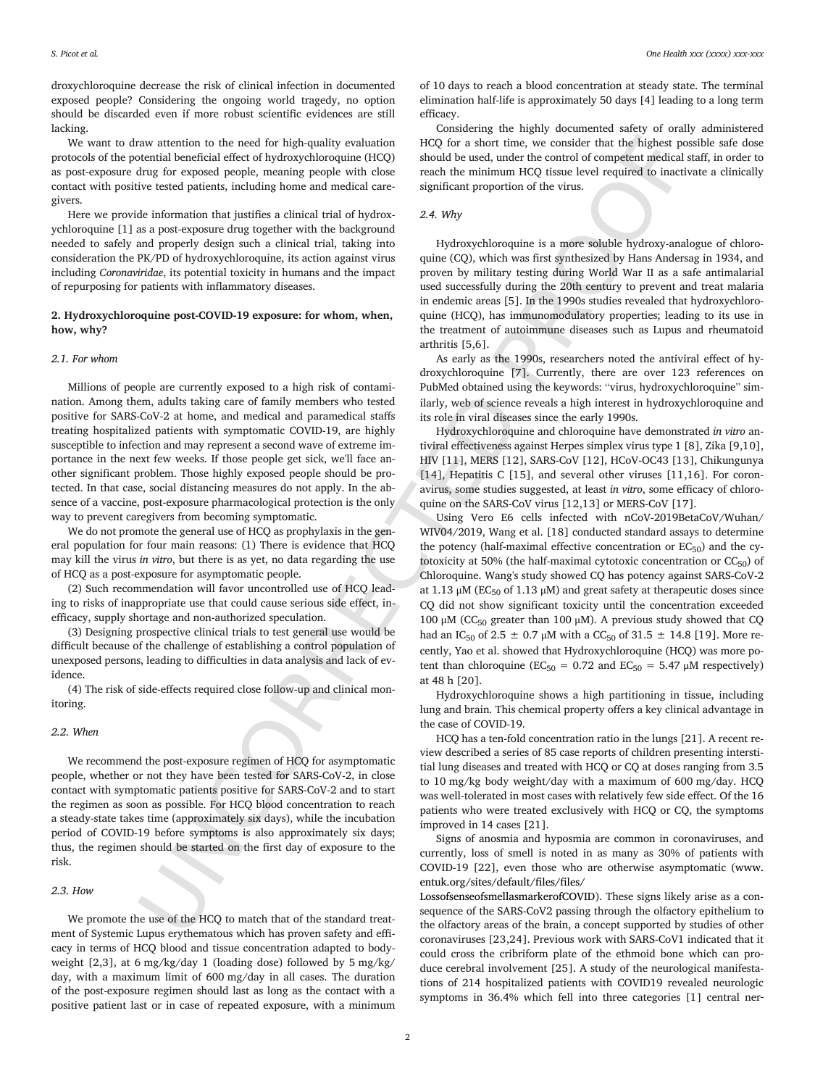droxychloroquine decrease the risk of clinical infection in documented exposed people? Considering the ongoing world tragedy, no option should be discarded even if more robust scientific evidences are still lacking.

We want to draw attention to the need for high-quality evaluation protocols of the potential beneficial effect of hydroxychloroquine (HCQ) as post-exposure drug for exposed people, meaning people with close contact with positive tested patients, including home and medical caregivers.

Here we provide information that justifies a clinical trial of hydroxychloroquine [1] as a post-exposure drug together with the background needed to safely and properly design such a clinical trial, taking into consideration the PK/PD of hydroxychloroquine, its action against virus including *Coronaviridae*, its potential toxicity in humans and the impact of repurposing for patients with inflammatory diseases.

# **2. Hydroxychloroquine post-COVID-19 exposure: for whom, when, how, why?**

#### *2.1. For whom*

Millions of people are currently exposed to a high risk of contamination. Among them, adults taking care of family members who tested positive for SARS-CoV-2 at home, and medical and paramedical staffs treating hospitalized patients with symptomatic COVID-19, are highly susceptible to infection and may represent a second wave of extreme importance in the next few weeks. If those people get sick, we'll face another significant problem. Those highly exposed people should be protected. In that case, social distancing measures do not apply. In the absence of a vaccine, post-exposure pharmacological protection is the only way to prevent caregivers from becoming symptomatic.

We do not promote the general use of HCQ as prophylaxis in the general population for four main reasons: (1) There is evidence that HCQ may kill the virus *in vitro*, but there is as yet, no data regarding the use of HCQ as a post-exposure for asymptomatic people.

(2) Such recommendation will favor uncontrolled use of HCQ leading to risks of inappropriate use that could cause serious side effect, inefficacy, supply shortage and non-authorized speculation.

(3) Designing prospective clinical trials to test general use would be difficult because of the challenge of establishing a control population of unexposed persons, leading to difficulties in data analysis and lack of evidence.

(4) The risk of side-effects required close follow-up and clinical monitoring.

#### *2.2. When*

We recommend the post-exposure regimen of HCQ for asymptomatic people, whether or not they have been tested for SARS-CoV-2, in close contact with symptomatic patients positive for SARS-CoV-2 and to start the regimen as soon as possible. For HCQ blood concentration to reach a steady-state takes time (approximately six days), while the incubation period of COVID-19 before symptoms is also approximately six days; thus, the regimen should be started on the first day of exposure to the risk.

#### *2.3. How*

We promote the use of the HCQ to match that of the standard treatment of Systemic Lupus erythematous which has proven safety and efficacy in terms of HCQ blood and tissue concentration adapted to bodyweight [2,3], at 6 mg/kg/day 1 (loading dose) followed by 5 mg/kg/ day, with a maximum limit of 600 mg/day in all cases. The duration of the post-exposure regimen should last as long as the contact with a positive patient last or in case of repeated exposure, with a minimum

of 10 days to reach a blood concentration at steady state. The terminal elimination half-life is approximately 50 days [4] leading to a long term efficacy.

Considering the highly documented safety of orally administered HCQ for a short time, we consider that the highest possible safe dose should be used, under the control of competent medical staff, in order to reach the minimum HCQ tissue level required to inactivate a clinically significant proportion of the virus.

# *2.4. Why*

Hydroxychloroquine is a more soluble hydroxy-analogue of chloroquine (CQ), which was first synthesized by Hans Andersag in 1934, and proven by military testing during World War II as a safe antimalarial used successfully during the 20th century to prevent and treat malaria in endemic areas [5]. In the 1990s studies revealed that hydroxychloroquine (HCQ), has immunomodulatory properties; leading to its use in the treatment of autoimmune diseases such as Lupus and rheumatoid arthritis [5,6].

As early as the 1990s, researchers noted the antiviral effect of hydroxychloroquine [7]. Currently, there are over 123 references on PubMed obtained using the keywords: "virus, hydroxychloroquine" similarly, web of science reveals a high interest in hydroxychloroquine and its role in viral diseases since the early 1990s.

Hydroxychloroquine and chloroquine have demonstrated *in vitro* antiviral effectiveness against Herpes simplex virus type 1 [8], Zika [9,10], HIV [11], MERS [12], SARS-CoV [12], HCoV-OC43 [13], Chikungunya [14], Hepatitis C [15], and several other viruses [11,16]. For coronavirus, some studies suggested, at least *in vitro*, some efficacy of chloroquine on the SARS-CoV virus [12,13] or MERS-CoV [17].

me attention the med for high quality poshed in the C net when the sected that the player position of the player position of the sected of the player position of the constraints of the sected of the sected of the sected o Using Vero E6 cells infected with nCoV-2019BetaCoV/Wuhan/ WIV04/2019, Wang et al. [18] conducted standard assays to determine the potency (half-maximal effective concentration or  $EC_{50}$ ) and the cytotoxicity at 50% (the half-maximal cytotoxic concentration or  $CC_{50}$ ) of Chloroquine. Wang's study showed CQ has potency against SARS-CoV-2 at 1.13 μM (EC<sub>50</sub> of 1.13 μM) and great safety at the rapeutic doses since CQ did not show significant toxicity until the concentration exceeded 100 μM (CC<sub>50</sub> greater than 100 μM). A previous study showed that CQ had an IC<sub>50</sub> of 2.5  $\pm$  0.7 µM with a CC<sub>50</sub> of 31.5  $\pm$  14.8 [19]. More recently, Yao et al. showed that Hydroxychloroquine (HCQ) was more potent than chloroquine ( $EC_{50} = 0.72$  and  $EC_{50} = 5.47 \mu M$  respectively) at 48 h [20].

Hydroxychloroquine shows a high partitioning in tissue, including lung and brain. This chemical property offers a key clinical advantage in the case of COVID-19.

HCQ has a ten-fold concentration ratio in the lungs [21]. A recent review described a series of 85 case reports of children presenting interstitial lung diseases and treated with HCQ or CQ at doses ranging from 3.5 to 10 mg/kg body weight/day with a maximum of 600 mg/day. HCQ was well-tolerated in most cases with relatively few side effect. Of the 16 patients who were treated exclusively with HCQ or CQ, the symptoms improved in 14 cases [21].

Signs of anosmia and hyposmia are common in coronaviruses, and currently, loss of smell is noted in as many as 30% of patients with COVID-19 [22], even those who are otherwise asymptomatic [\(www.](http://www.entuk.org/sites/default/files/files/LossofsenseofsmellasmarkerofCOVID) [entuk.org/sites/default/files/files/](http://www.entuk.org/sites/default/files/files/LossofsenseofsmellasmarkerofCOVID)

[LossofsenseofsmellasmarkerofCOVID\)](http://www.entuk.org/sites/default/files/files/LossofsenseofsmellasmarkerofCOVID). These signs likely arise as a consequence of the SARS-CoV2 passing through the olfactory epithelium to the olfactory areas of the brain, a concept supported by studies of other coronaviruses [23,24]. Previous work with SARS-CoV1 indicated that it could cross the cribriform plate of the ethmoid bone which can produce cerebral involvement [25]. A study of the neurological manifestations of 214 hospitalized patients with COVID19 revealed neurologic symptoms in 36.4% which fell into three categories [1] central ner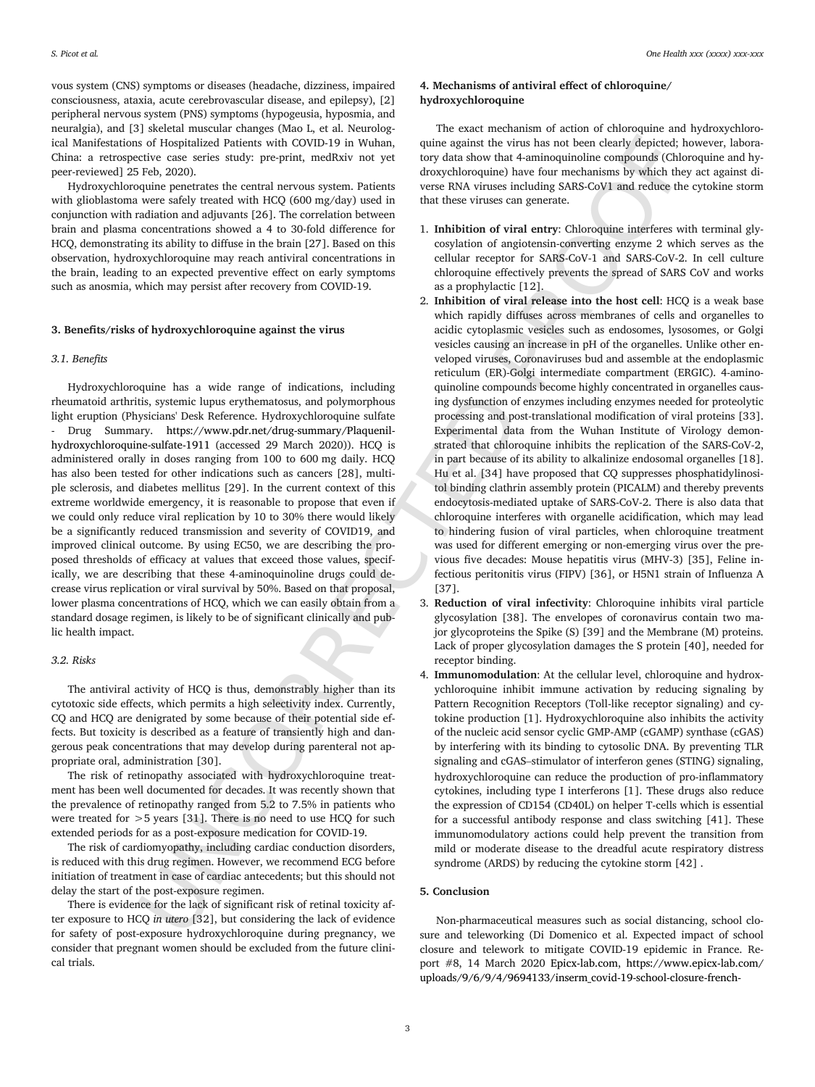vous system (CNS) symptoms or diseases (headache, dizziness, impaired consciousness, ataxia, acute cerebrovascular disease, and epilepsy), [2] peripheral nervous system (PNS) symptoms (hypogeusia, hyposmia, and neuralgia), and [3] skeletal muscular changes (Mao L, et al. Neurological Manifestations of Hospitalized Patients with COVID-19 in Wuhan, China: a retrospective case series study: pre-print, medRxiv not yet peer-reviewed] 25 Feb, 2020).

Hydroxychloroquine penetrates the central nervous system. Patients with glioblastoma were safely treated with HCQ (600 mg/day) used in conjunction with radiation and adjuvants [26]. The correlation between brain and plasma concentrations showed a 4 to 30-fold difference for HCQ, demonstrating its ability to diffuse in the brain [27]. Based on this observation, hydroxychloroquine may reach antiviral concentrations in the brain, leading to an expected preventive effect on early symptoms such as anosmia, which may persist after recovery from COVID-19.

#### **3. Benefits/risks of hydroxychloroquine against the virus**

#### *3.1. Benefits*

Hydroxychloroquine has a wide range of indications, including rheumatoid arthritis, systemic lupus erythematosus, and polymorphous light eruption (Physicians' Desk Reference. Hydroxychloroquine sulfate - Drug Summary. https://www.pdr.net/drug-summary/Plaquenil[hydroxychloroquine-sulfate-1911](https://www.pdr.net/drug-summary/Plaquenil-hydroxychloroquine-sulfate-1911) (accessed 29 March 2020)). HCQ is administered orally in doses ranging from 100 to 600 mg daily. HCQ has also been tested for other indications such as cancers [28], multiple sclerosis, and diabetes mellitus [29]. In the current context of this extreme worldwide emergency, it is reasonable to propose that even if we could only reduce viral replication by 10 to 30% there would likely be a significantly reduced transmission and severity of COVID19, and improved clinical outcome. By using EC50, we are describing the proposed thresholds of efficacy at values that exceed those values, specifically, we are describing that these 4-aminoquinoline drugs could decrease virus replication or viral survival by 50%. Based on that proposal, lower plasma concentrations of HCQ, which we can easily obtain from a standard dosage regimen, is likely to be of significant clinically and public health impact.

#### *3.2. Risks*

The antiviral activity of HCQ is thus, demonstrably higher than its cytotoxic side effects, which permits a high selectivity index. Currently, CQ and HCQ are denigrated by some because of their potential side effects. But toxicity is described as a feature of transiently high and dangerous peak concentrations that may develop during parenteral not appropriate oral, administration [30].

The risk of retinopathy associated with hydroxychloroquine treatment has been well documented for decades. It was recently shown that the prevalence of retinopathy ranged from 5.2 to 7.5% in patients who were treated for  $>$  5 years [31]. There is no need to use HCQ for such extended periods for as a post-exposure medication for COVID-19.

The risk of cardiomyopathy, including cardiac conduction disorders, is reduced with this drug regimen. However, we recommend ECG before initiation of treatment in case of cardiac antecedents; but this should not delay the start of the post-exposure regimen.

There is evidence for the lack of significant risk of retinal toxicity after exposure to HCQ *in utero* [32], but considering the lack of evidence for safety of post-exposure hydroxychloroquine during pregnancy, we consider that pregnant women should be excluded from the future clinical trials.

### **4. Mechanisms of antiviral effect of chloroquine/ hydroxychloroquine**

The exact mechanism of action of chloroquine and hydroxychloroquine against the virus has not been clearly depicted; however, laboratory data show that 4-aminoquinoline compounds (Chloroquine and hydroxychloroquine) have four mechanisms by which they act against diverse RNA viruses including SARS-CoV1 and reduce the cytokine storm that these viruses can generate.

- 1. **Inhibition of viral entry**: Chloroquine interferes with terminal glycosylation of angiotensin-converting enzyme 2 which serves as the cellular receptor for SARS-CoV-1 and SARS-CoV-2. In cell culture chloroquine effectively prevents the spread of SARS CoV and works as a prophylactic [12].
- or of independent restrictions and the hydrodyneous control in the state of the control in the state of the state of the state of the state of the state of the state of the state of the state of the state of the state of 2. **Inhibition of viral release into the host cell**: HCQ is a weak base which rapidly diffuses across membranes of cells and organelles to acidic cytoplasmic vesicles such as endosomes, lysosomes, or Golgi vesicles causing an increase in pH of the organelles. Unlike other enveloped viruses, Coronaviruses bud and assemble at the endoplasmic reticulum (ER)-Golgi intermediate compartment (ERGIC). 4-aminoquinoline compounds become highly concentrated in organelles causing dysfunction of enzymes including enzymes needed for proteolytic processing and post-translational modification of viral proteins [33]. Experimental data from the Wuhan Institute of Virology demonstrated that chloroquine inhibits the replication of the SARS-CoV-2, in part because of its ability to alkalinize endosomal organelles [18]. Hu et al. [34] have proposed that CQ suppresses phosphatidylinositol binding clathrin assembly protein (PICALM) and thereby prevents endocytosis-mediated uptake of SARS-CoV-2. There is also data that chloroquine interferes with organelle acidification, which may lead to hindering fusion of viral particles, when chloroquine treatment was used for different emerging or non-emerging virus over the previous five decades: Mouse hepatitis virus (MHV-3) [35], Feline infectious peritonitis virus (FIPV) [36], or H5N1 strain of Influenza A [37].
	- 3. **Reduction of viral infectivity**: Chloroquine inhibits viral particle glycosylation [38]. The envelopes of coronavirus contain two major glycoproteins the Spike (S) [39] and the Membrane (M) proteins. Lack of proper glycosylation damages the S protein [40], needed for receptor binding.
	- 4. **Immunomodulation**: At the cellular level, chloroquine and hydroxychloroquine inhibit immune activation by reducing signaling by Pattern Recognition Receptors (Toll-like receptor signaling) and cytokine production [1]. Hydroxychloroquine also inhibits the activity of the nucleic acid sensor cyclic GMP-AMP (cGAMP) synthase (cGAS) by interfering with its binding to cytosolic DNA. By preventing TLR signaling and cGAS–stimulator of interferon genes (STING) signaling, hydroxychloroquine can reduce the production of pro-inflammatory cytokines, including type I interferons [1]. These drugs also reduce the expression of CD154 (CD40L) on helper T-cells which is essential for a successful antibody response and class switching [41]. These immunomodulatory actions could help prevent the transition from mild or moderate disease to the dreadful acute respiratory distress syndrome (ARDS) by reducing the cytokine storm [42] .

#### **5. Conclusion**

Non-pharmaceutical measures such as social distancing, school closure and teleworking (Di Domenico et al. Expected impact of school closure and telework to mitigate COVID-19 epidemic in France. Report #8, 14 March 2020 [Epicx-lab.com,](http://epicx-lab.com) [https://www.epicx-lab.com/](https://www.epicx-lab.com/uploads/9/6/9/4/9694133/inserm_covid-19-school-closure-french-regions_20200313.pdf) [uploads/9/6/9/4/9694133/inserm\\_covid-19-school-closure-french-](https://www.epicx-lab.com/uploads/9/6/9/4/9694133/inserm_covid-19-school-closure-french-regions_20200313.pdf)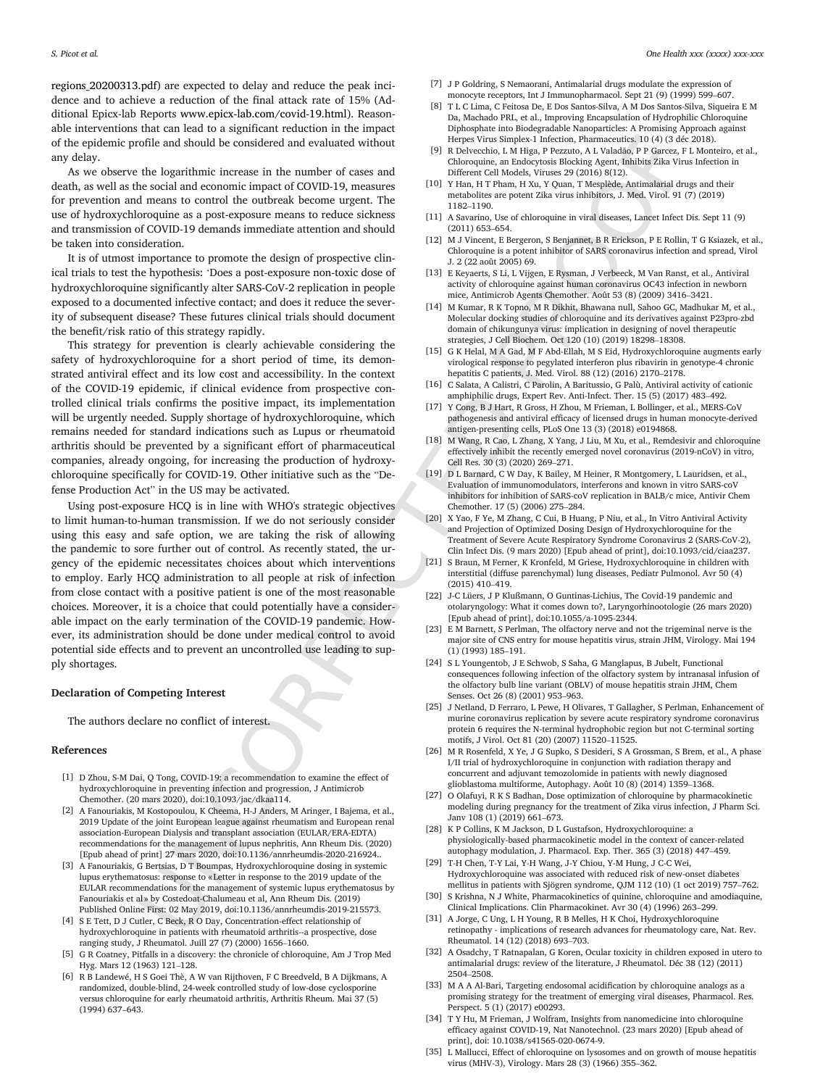[regions\\_20200313.pdf\)](https://www.epicx-lab.com/uploads/9/6/9/4/9694133/inserm_covid-19-school-closure-french-regions_20200313.pdf) are expected to delay and reduce the peak incidence and to achieve a reduction of the final attack rate of 15% (Additional Epicx-lab Reports [www.epicx-lab.com/covid-19.html](http://www.epicx-lab.com/covid-19.html)). Reasonable interventions that can lead to a significant reduction in the impact of the epidemic profile and should be considered and evaluated without any delay.

As we observe the logarithmic increase in the number of cases and death, as well as the social and economic impact of COVID-19, measures for prevention and means to control the outbreak become urgent. The use of hydroxychloroquine as a post-exposure means to reduce sickness and transmission of COVID-19 demands immediate attention and should be taken into consideration.

It is of utmost importance to promote the design of prospective clinical trials to test the hypothesis: 'Does a post-exposure non-toxic dose of hydroxychloroquine significantly alter SARS-CoV-2 replication in people exposed to a documented infective contact; and does it reduce the severity of subsequent disease? These futures clinical trials should document the benefit/risk ratio of this strategy rapidly.

This strategy for prevention is clearly achievable considering the safety of hydroxychloroquine for a short period of time, its demonstrated antiviral effect and its low cost and accessibility. In the context of the COVID-19 epidemic, if clinical evidence from prospective controlled clinical trials confirms the positive impact, its implementation will be urgently needed. Supply shortage of hydroxychloroquine, which remains needed for standard indications such as Lupus or rheumatoid arthritis should be prevented by a significant effort of pharmaceutical companies, already ongoing, for increasing the production of hydroxychloroquine specifically for COVID-19. Other initiative such as the "Defense Production Act" in the US may be activated.

when all about the matched sixted into the matched interaction into the sixted interaction into the sixted into the sixted into the sixted into the sixted into the sixted interaction in the sixted into the sixted into the Using post-exposure HCQ is in line with WHO's strategic objectives to limit human-to-human transmission. If we do not seriously consider using this easy and safe option, we are taking the risk of allowing the pandemic to sore further out of control. As recently stated, the urgency of the epidemic necessitates choices about which interventions to employ. Early HCQ administration to all people at risk of infection from close contact with a positive patient is one of the most reasonable choices. Moreover, it is a choice that could potentially have a considerable impact on the early termination of the COVID-19 pandemic. However, its administration should be done under medical control to avoid potential side effects and to prevent an uncontrolled use leading to supply shortages.

#### **Declaration of Competing Interest**

The authors declare no conflict of interest.

#### **References**

- [1] D Zhou, S-M Dai, Q Tong, COVID-19: a recommendation to examine the effect of hydroxychloroquine in preventing infection and progression, J Antimicrob Chemother. (20 mars 2020), doi:10.1093/jac/dkaa114.
- [2] A Fanouriakis, M Kostopoulou, K Cheema, H-J Anders, M Aringer, I Bajema, et al., 2019 Update of the joint European league against rheumatism and European renal association-European Dialysis and transplant association (EULAR/ERA-EDTA) recommendations for the management of lupus nephritis, Ann Rheum Dis. (2020) [Epub ahead of print] 27 mars 2020, doi:10.1136/annrheumdis-2020-216924..
- [3] A Fanouriakis, G Bertsias, D T Boumpas, Hydroxychloroquine dosing in systemic lupus erythematosus: response to « Letter in response to the 2019 update of the EULAR recommendations for the management of systemic lupus erythematosus by Fanouriakis et al » by Costedoat-Chalumeau et al, Ann Rheum Dis. (2019) Published Online First: 02 May 2019, doi:10.1136/annrheumdis-2019-215573.
- [4] S E Tett, D J Cutler, C Beck, R O Day, Concentration-effect relationship of hydroxychloroquine in patients with rheumatoid arthritis--a prospective, dose ranging study, J Rheumatol. Juill 27 (7) (2000) 1656–1660.
- [5] G R Coatney, Pitfalls in a discovery: the chronicle of chloroquine, Am J Trop Med Hyg. Mars 12 (1963) 121–128.
- [6] R B Landewé, H S Goei Thè, A W van Rijthoven, F C Breedveld, B A Dijkmans, A randomized, double-blind, 24-week controlled study of low-dose cyclosporine versus chloroquine for early rheumatoid arthritis, Arthritis Rheum. Mai 37 (5) (1994) 637–643.
- [7] J P Goldring, S Nemaorani, Antimalarial drugs modulate the expression of
- monocyte receptors, Int J Immunopharmacol. Sept 21 (9) (1999) 599–607. [8] T L C Lima, C Feitosa De, E Dos Santos-Silva, A M Dos Santos-Silva, Siqueira E M Da, Machado PRL, et al., Improving Encapsulation of Hydrophilic Chloroquine Diphosphate into Biodegradable Nanoparticles: A Promising Approach against Herpes Virus Simplex-1 Infection, Pharmaceutics. 10 (4) (3 déc 2018).
- [9] R Delvecchio, L M Higa, P Pezzuto, A L Valadão, P P Garcez, F L Monteiro, et al., Chloroquine, an Endocytosis Blocking Agent, Inhibits Zika Virus Infection in Different Cell Models, Viruses 29 (2016) 8(12).
- [10] Y Han, H T Pham, H Xu, Y Quan, T Mesplède, Antimalarial drugs and their metabolites are potent Zika virus inhibitors, J. Med. Virol. 91 (7) (2019) 1182–1190.
- [11] A Savarino, Use of chloroquine in viral diseases, Lancet Infect Dis. Sept 11 (9) (2011) 653–654.
- [12] M J Vincent, E Bergeron, S Benjannet, B R Erickson, P E Rollin, T G Ksiazek, et al., Chloroquine is a potent inhibitor of SARS coronavirus infection and spread, Virol J. 2 (22 août 2005) 69.
- [13] E Keyaerts, S Li, L Vijgen, E Rysman, J Verbeeck, M Van Ranst, et al., Antiviral activity of chloroquine against human coronavirus OC43 infection in newborn mice, Antimicrob Agents Chemother. Août 53 (8) (2009) 3416–3421.
- [14] M Kumar, R K Topno, M R Dikhit, Bhawana null, Sahoo GC, Madhukar M, et al., Molecular docking studies of chloroquine and its derivatives against P23pro-zbd domain of chikungunya virus: implication in designing of novel therapeutic strategies, J Cell Biochem. Oct 120 (10) (2019) 18298–18308.
- [15] G K Helal, M A Gad, M F Abd-Ellah, M S Eid, Hydroxychloroquine augments early virological response to pegylated interferon plus ribavirin in genotype-4 chronic hepatitis C patients, J. Med. Virol. 88 (12) (2016) 2170–2178.
- [16] C Salata, A Calistri, C Parolin, A Baritussio, G Palù, Antiviral activity of cationic amphiphilic drugs, Expert Rev. Anti-Infect. Ther. 15 (5) (2017) 483–492.
- [17] Y Cong, B J Hart, R Gross, H Zhou, M Frieman, L Bollinger, et al., MERS-CoV pathogenesis and antiviral efficacy of licensed drugs in human monocyte-derived antigen-presenting cells, PLoS One 13 (3) (2018) e0194868.
- [18] M Wang, R Cao, L Zhang, X Yang, J Liu, M Xu, et al., Remdesivir and chloroquine effectively inhibit the recently emerged novel coronavirus (2019-nCoV) in vitro, Cell Res. 30 (3) (2020) 269–271.
- [19] D L Barnard, C W Day, K Bailey, M Heiner, R Montgomery, L Lauridsen, et al., Evaluation of immunomodulators, interferons and known in vitro SARS-coV inhibitors for inhibition of SARS-coV replication in BALB/c mice, Antivir Chem Chemother. 17 (5) (2006) 275–284.
- [20] X Yao, F Ye, M Zhang, C Cui, B Huang, P Niu, et al., In Vitro Antiviral Activity and Projection of Optimized Dosing Design of Hydroxychloroquine for the Treatment of Severe Acute Respiratory Syndrome Coronavirus 2 (SARS-CoV-2), Clin Infect Dis. (9 mars 2020) [Epub ahead of print], doi:10.1093/cid/ciaa237.
- [21] S Braun, M Ferner, K Kronfeld, M Griese, Hydroxychloroquine in children with interstitial (diffuse parenchymal) lung diseases, Pediatr Pulmonol. Avr 50 (4) (2015) 410–419.
- [22] J-C Lüers, J P Klußmann, O Guntinas-Lichius, The Covid-19 pandemic and otolaryngology: What it comes down to?, Laryngorhinootologie (26 mars 2020) [Epub ahead of print], doi:10.1055/a-1095-2344.
- [23] E M Barnett, S Perlman, The olfactory nerve and not the trigeminal nerve is the major site of CNS entry for mouse hepatitis virus, strain JHM, Virology. Mai 194 (1) (1993) 185–191.
- [24] S L Youngentob, J E Schwob, S Saha, G Manglapus, B Jubelt, Functional consequences following infection of the olfactory system by intranasal infusion of the olfactory bulb line variant (OBLV) of mouse hepatitis strain JHM, Chem Senses. Oct 26 (8) (2001) 953–963.
- [25] J Netland, D Ferraro, L Pewe, H Olivares, T Gallagher, S Perlman, Enhancement of murine coronavirus replication by severe acute respiratory syndrome coronavirus protein 6 requires the N-terminal hydrophobic region but not C-terminal sorting motifs, J Virol. Oct 81 (20) (2007) 11520–11525.
- [26] M R Rosenfeld, X Ye, J G Supko, S Desideri, S A Grossman, S Brem, et al., A phase I/II trial of hydroxychloroquine in conjunction with radiation therapy and concurrent and adjuvant temozolomide in patients with newly diagnosed glioblastoma multiforme, Autophagy. Août 10 (8) (2014) 1359–1368.
- [27] O Olafuyi, R K S Badhan, Dose optimization of chloroquine by pharmacokinetic modeling during pregnancy for the treatment of Zika virus infection, J Pharm Sci. Janv 108 (1) (2019) 661–673.
- [28] K P Collins, K M Jackson, D L Gustafson, Hydroxychloroquine: a physiologically-based pharmacokinetic model in the context of cancer-related autophagy modulation, J. Pharmacol. Exp. Ther. 365 (3) (2018) 447–459.
- [29] T-H Chen, T-Y Lai, Y-H Wang, J-Y Chiou, Y-M Hung, J C-C Wei, Hydroxychloroquine was associated with reduced risk of new-onset diabetes mellitus in patients with Sjögren syndrome, QJM 112 (10) (1 oct 2019) 757–762.
- [30] S Krishna, N J White, Pharmacokinetics of quinine, chloroquine and amodiaquine, Clinical Implications. Clin Pharmacokinet. Avr 30 (4) (1996) 263–299.
- [31] A Jorge, C Ung, L H Young, R B Melles, H K Choi, Hydroxychloroquine retinopathy - implications of research advances for rheumatology care, Nat. Rev. Rheumatol. 14 (12) (2018) 693–703.
- [32] A Osadchy, T Ratnapalan, G Koren, Ocular toxicity in children exposed in utero to antimalarial drugs: review of the literature, J Rheumatol. Déc 38 (12) (2011) 2504–2508.
- [33] M A A Al-Bari, Targeting endosomal acidification by chloroquine analogs as a promising strategy for the treatment of emerging viral diseases, Pharmacol. Res. Perspect. 5 (1) (2017) e00293.
- [34] T Y Hu, M Frieman, J Wolfram, Insights from nanomedicine into chloroquine efficacy against COVID-19, Nat Nanotechnol. (23 mars 2020) [Epub ahead of print], doi: 10.1038/s41565-020-0674-9.
- [35] L Mallucci, Effect of chloroquine on lysosomes and on growth of mouse hepatitis virus (MHV-3), Virology. Mars 28 (3) (1966) 355–362.